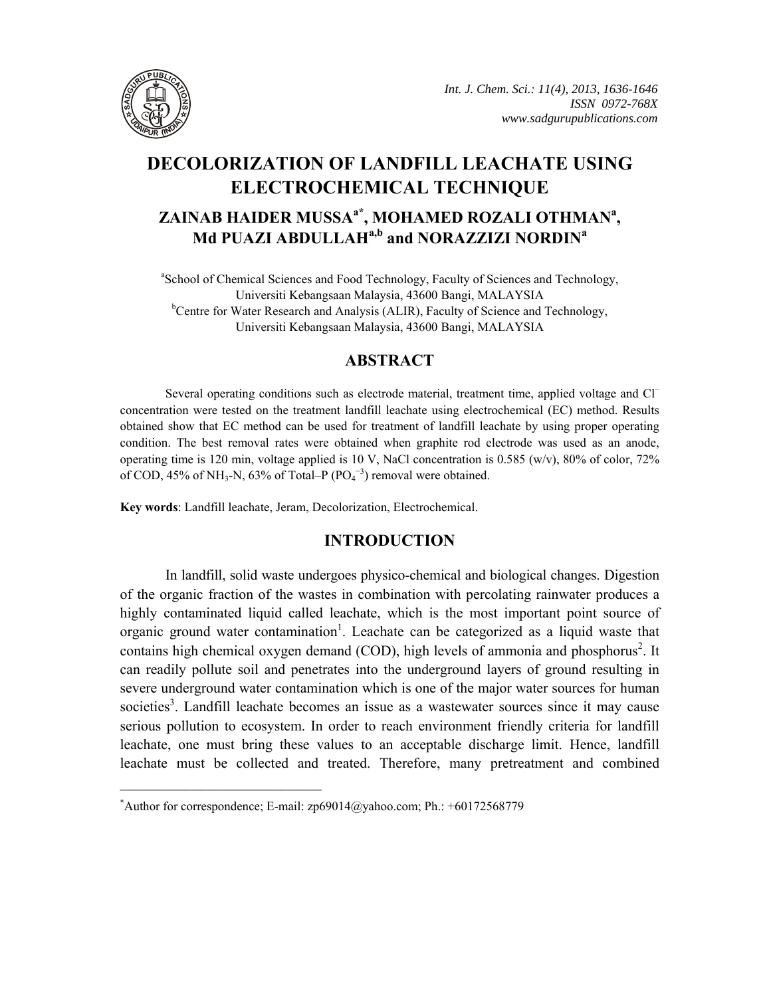

# **DECOLORIZATION OF LANDFILL LEACHATE USING ELECTROCHEMICAL TECHNIQUE ZAINAB HAIDER MUSSAa\*, MOHAMED ROZALI OTHMANa , Md PUAZI ABDULLAHa,b and NORAZZIZI NORDINa**

<sup>a</sup>School of Chemical Sciences and Food Technology, Faculty of Sciences and Technology, Universiti Kebangsaan Malaysia, 43600 Bangi, MALAYSIA <sup>b</sup>Centre for Water Research and Analysis (ALIR), Faculty of Science and Technology, Universiti Kebangsaan Malaysia, 43600 Bangi, MALAYSIA

# **ABSTRACT**

Several operating conditions such as electrode material, treatment time, applied voltage and Cl<sup>−</sup> concentration were tested on the treatment landfill leachate using electrochemical (EC) method. Results obtained show that EC method can be used for treatment of landfill leachate by using proper operating condition. The best removal rates were obtained when graphite rod electrode was used as an anode, operating time is 120 min, voltage applied is 10 V, NaCl concentration is 0.585 (w/v), 80% of color, 72% of COD, 45% of NH<sub>3</sub>-N, 63% of Total–P ( $PO<sub>4</sub><sup>-3</sup>$ ) removal were obtained.

**Key words**: Landfill leachate, Jeram, Decolorization, Electrochemical.

# **INTRODUCTION**

In landfill, solid waste undergoes physico-chemical and biological changes. Digestion of the organic fraction of the wastes in combination with percolating rainwater produces a highly contaminated liquid called leachate, which is the most important point source of organic ground water contamination<sup>1</sup>. Leachate can be categorized as a liquid waste that contains high chemical oxygen demand (COD), high levels of ammonia and phosphorus<sup>2</sup>. It can readily pollute soil and penetrates into the underground layers of ground resulting in severe underground water contamination which is one of the major water sources for human societies<sup>3</sup>. Landfill leachate becomes an issue as a wastewater sources since it may cause serious pollution to ecosystem. In order to reach environment friendly criteria for landfill leachate, one must bring these values to an acceptable discharge limit. Hence, landfill leachate must be collected and treated. Therefore, many pretreatment and combined

**\_\_\_\_\_\_\_\_\_\_\_\_\_\_\_\_\_\_\_\_\_\_\_\_\_\_\_\_\_\_\_\_\_\_\_\_\_\_\_\_**

<sup>\*</sup> Author for correspondence; E-mail: zp69014@yahoo.com; Ph.: +60172568779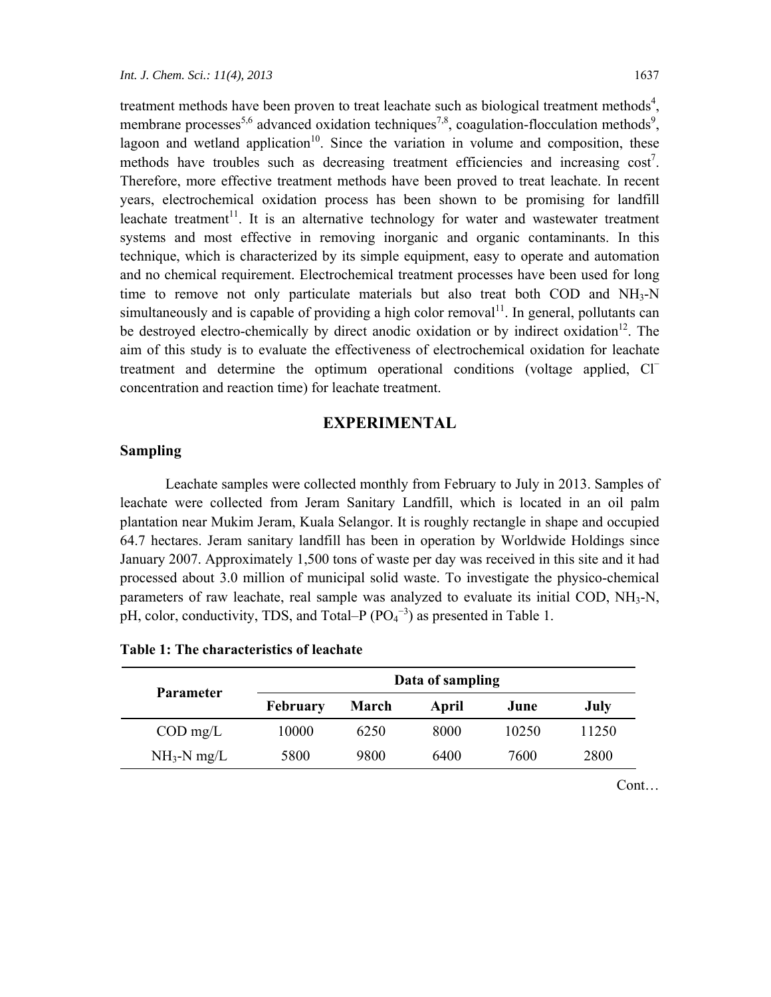treatment methods have been proven to treat leachate such as biological treatment methods<sup>4</sup>, membrane processes<sup>5,6</sup> advanced oxidation techniques<sup>7,8</sup>, coagulation-flocculation methods<sup>9</sup>, lagoon and wetland application<sup>10</sup>. Since the variation in volume and composition, these methods have troubles such as decreasing treatment efficiencies and increasing  $\cos t^7$ . Therefore, more effective treatment methods have been proved to treat leachate. In recent years, electrochemical oxidation process has been shown to be promising for landfill leachate treatment<sup>11</sup>. It is an alternative technology for water and wastewater treatment systems and most effective in removing inorganic and organic contaminants. In this technique, which is characterized by its simple equipment, easy to operate and automation and no chemical requirement. Electrochemical treatment processes have been used for long time to remove not only particulate materials but also treat both COD and  $NH<sub>3</sub>-N$ simultaneously and is capable of providing a high color removal<sup>11</sup>. In general, pollutants can be destroyed electro-chemically by direct anodic oxidation or by indirect oxidation<sup>12</sup>. The aim of this study is to evaluate the effectiveness of electrochemical oxidation for leachate treatment and determine the optimum operational conditions (voltage applied, Cl<sup>−</sup> concentration and reaction time) for leachate treatment.

#### **EXPERIMENTAL**

## **Sampling**

Leachate samples were collected monthly from February to July in 2013. Samples of leachate were collected from Jeram Sanitary Landfill, which is located in an oil palm plantation near Mukim Jeram, Kuala Selangor. It is roughly rectangle in shape and occupied 64.7 hectares. Jeram sanitary landfill has been in operation by Worldwide Holdings since January 2007. Approximately 1,500 tons of waste per day was received in this site and it had processed about 3.0 million of municipal solid waste. To investigate the physico-chemical parameters of raw leachate, real sample was analyzed to evaluate its initial COD,  $NH<sub>3</sub>-N$ , pH, color, conductivity, TDS, and Total–P  $(PO<sub>4</sub><sup>-3</sup>)$  as presented in Table 1.

| Data of sampling |       |       |       |       |
|------------------|-------|-------|-------|-------|
| <b>February</b>  | March | April | June  | July  |
| 10000            | 6250  | 8000  | 10250 | 11250 |
| 5800             | 9800  | 6400  | 7600  | 2800  |
|                  |       |       |       |       |

**Table 1: The characteristics of leachate** 

Cont…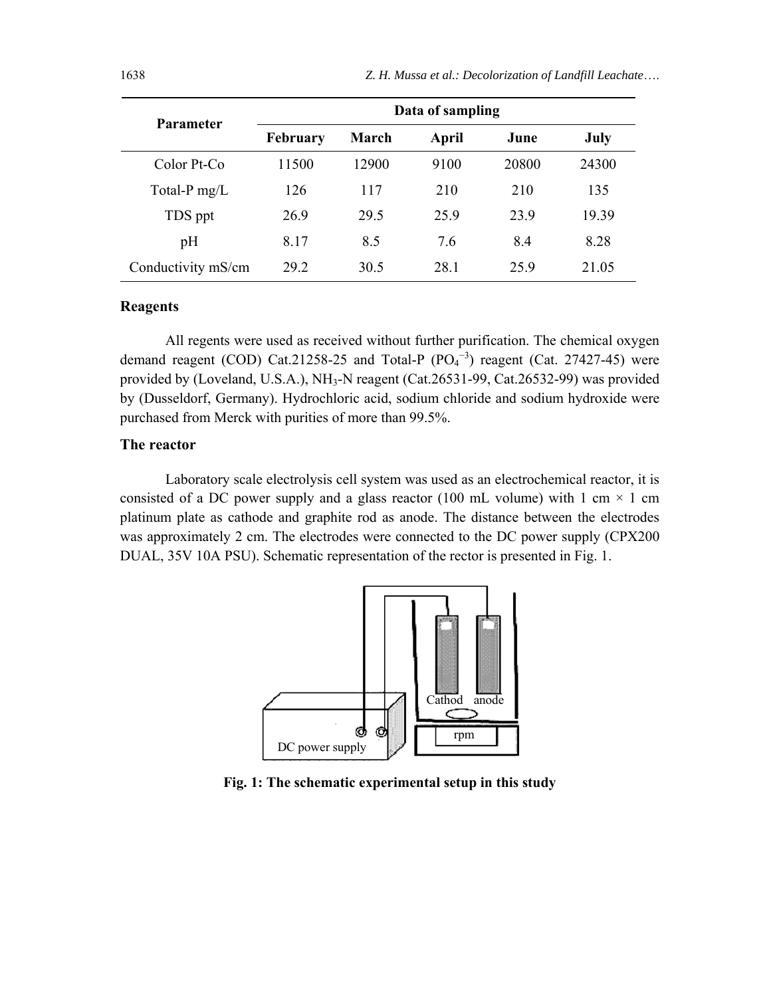| <b>Parameter</b>   | Data of sampling |       |       |       |       |  |
|--------------------|------------------|-------|-------|-------|-------|--|
|                    | February         | March | April | June  | July  |  |
| Color Pt-Co        | 11500            | 12900 | 9100  | 20800 | 24300 |  |
| Total-P $mg/L$     | 126              | 117   | 210   | 210   | 135   |  |
| TDS ppt            | 26.9             | 29.5  | 259   | 23.9  | 19.39 |  |
| pH                 | 8.17             | 8.5   | 7.6   | 8.4   | 8.28  |  |
| Conductivity mS/cm | 29 2             | 30.5  | 28.1  | 259   | 21.05 |  |

#### **Reagents**

All regents were used as received without further purification. The chemical oxygen demand reagent (COD) Cat.21258-25 and Total-P  $(PO<sub>4</sub><sup>-3</sup>)$  reagent (Cat. 27427-45) were provided by (Loveland, U.S.A.), NH<sub>3</sub>-N reagent (Cat.26531-99, Cat.26532-99) was provided by (Dusseldorf, Germany). Hydrochloric acid, sodium chloride and sodium hydroxide were purchased from Merck with purities of more than 99.5%.

#### **The reactor**

Laboratory scale electrolysis cell system was used as an electrochemical reactor, it is consisted of a DC power supply and a glass reactor (100 mL volume) with 1 cm  $\times$  1 cm platinum plate as cathode and graphite rod as anode. The distance between the electrodes was approximately 2 cm. The electrodes were connected to the DC power supply (CPX200 DUAL, 35V 10A PSU). Schematic representation of the rector is presented in Fig. 1.



**Fig. 1: The schematic experimental setup in this study**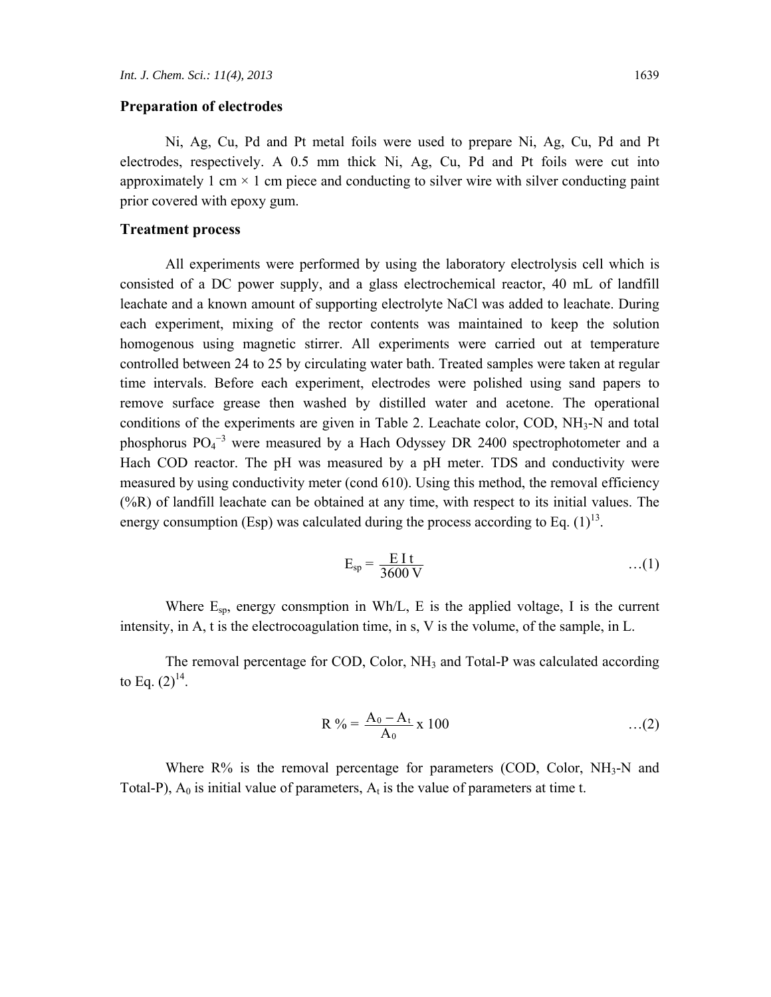#### **Preparation of electrodes**

Ni, Ag, Cu, Pd and Pt metal foils were used to prepare Ni, Ag, Cu, Pd and Pt electrodes, respectively. A 0.5 mm thick Ni, Ag, Cu, Pd and Pt foils were cut into approximately 1 cm  $\times$  1 cm piece and conducting to silver wire with silver conducting paint prior covered with epoxy gum.

## **Treatment process**

All experiments were performed by using the laboratory electrolysis cell which is consisted of a DC power supply, and a glass electrochemical reactor, 40 mL of landfill leachate and a known amount of supporting electrolyte NaCl was added to leachate. During each experiment, mixing of the rector contents was maintained to keep the solution homogenous using magnetic stirrer. All experiments were carried out at temperature controlled between 24 to 25 by circulating water bath. Treated samples were taken at regular time intervals. Before each experiment, electrodes were polished using sand papers to remove surface grease then washed by distilled water and acetone. The operational conditions of the experiments are given in Table 2. Leachate color, COD,  $NH<sub>3</sub>-N$  and total phosphorus  $PO_4^{-3}$  were measured by a Hach Odyssey DR 2400 spectrophotometer and a Hach COD reactor. The pH was measured by a pH meter. TDS and conductivity were measured by using conductivity meter (cond 610). Using this method, the removal efficiency  $(\%R)$  of landfill leachate can be obtained at any time, with respect to its initial values. The energy consumption (Esp) was calculated during the process according to Eq.  $(1)^{13}$ .

$$
E_{sp} = \frac{E I t}{3600 V} \qquad ...(1)
$$

Where  $E_{sp}$ , energy consmption in Wh/L, E is the applied voltage, I is the current intensity, in A, t is the electrocoagulation time, in s, V is the volume, of the sample, in L.

The removal percentage for COD, Color, NH<sub>3</sub> and Total-P was calculated according to Eq.  $(2)^{14}$ .

$$
R\% = \frac{A_0 - A_t}{A_0} \times 100 \tag{2}
$$

Where  $R\%$  is the removal percentage for parameters (COD, Color, NH<sub>3</sub>-N and Total-P),  $A_0$  is initial value of parameters,  $A_t$  is the value of parameters at time t.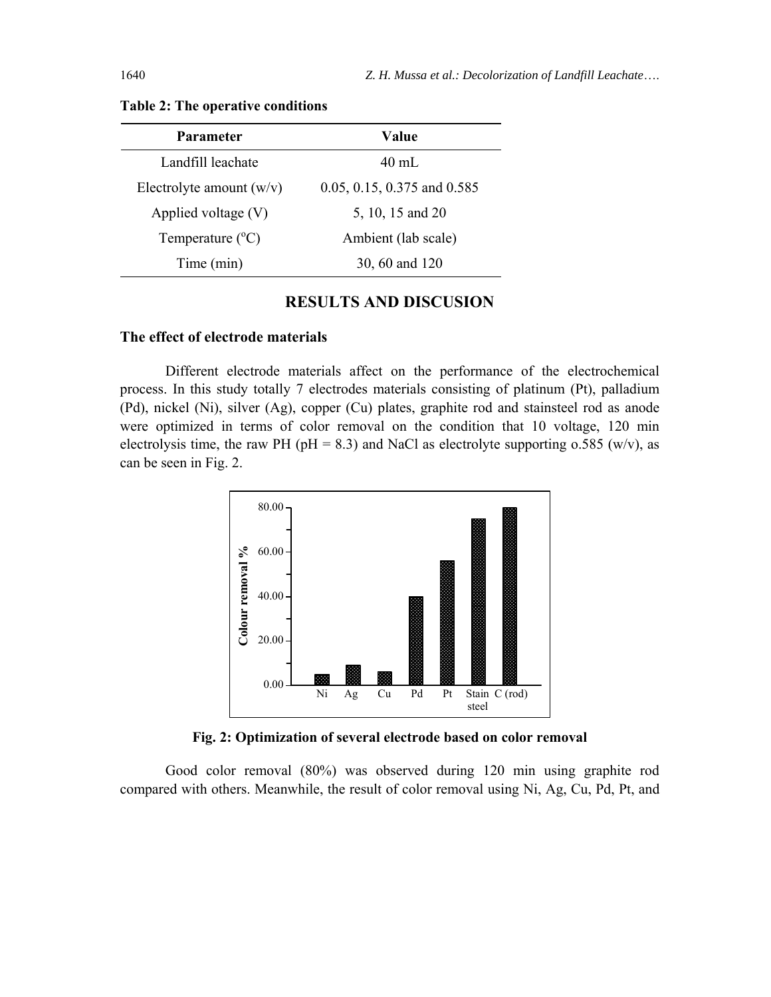| <b>Parameter</b>           | Value                           |  |
|----------------------------|---------------------------------|--|
| Landfill leachate          | $40 \text{ mL}$                 |  |
| Electrolyte amount $(w/v)$ | $0.05, 0.15, 0.375$ and $0.585$ |  |
| Applied voltage $(V)$      | 5, 10, 15 and 20                |  |
| Temperature $(^{\circ}C)$  | Ambient (lab scale)             |  |
| Time (min)                 | 30, 60 and 120                  |  |

**Table 2: The operative conditions** 

# **RESULTS AND DISCUSION**

#### **The effect of electrode materials**

Different electrode materials affect on the performance of the electrochemical process. In this study totally 7 electrodes materials consisting of platinum (Pt), palladium (Pd), nickel (Ni), silver (Ag), copper (Cu) plates, graphite rod and stainsteel rod as anode were optimized in terms of color removal on the condition that 10 voltage, 120 min electrolysis time, the raw PH (pH = 8.3) and NaCl as electrolyte supporting  $0.585$  (w/v), as can be seen in Fig. 2.



**Fig. 2: Optimization of several electrode based on color removal** 

Good color removal (80%) was observed during 120 min using graphite rod compared with others. Meanwhile, the result of color removal using Ni, Ag, Cu, Pd, Pt, and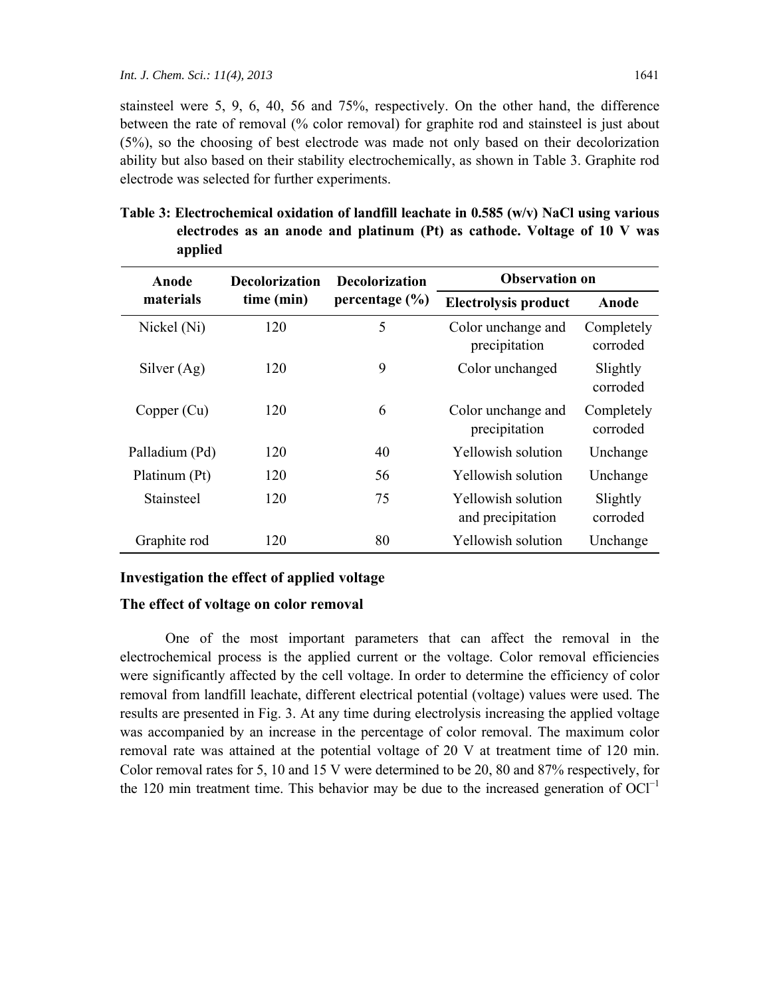stainsteel were 5, 9, 6, 40, 56 and 75%, respectively. On the other hand, the difference between the rate of removal (% color removal) for graphite rod and stainsteel is just about (5%), so the choosing of best electrode was made not only based on their decolorization ability but also based on their stability electrochemically, as shown in Table 3. Graphite rod electrode was selected for further experiments.

| Anode          | <b>Decolorization</b> | <b>Decolorization</b> | <b>Observation on</b>                   |                        |
|----------------|-----------------------|-----------------------|-----------------------------------------|------------------------|
| materials      | time (min)            | percentage $(\% )$    | <b>Electrolysis product</b>             | Anode                  |
| Nickel (Ni)    | 120                   | 5                     | Color unchange and<br>precipitation     | Completely<br>corroded |
| Silver $(Ag)$  | 120                   | 9                     | Color unchanged                         | Slightly<br>corroded   |
| Copper (Cu)    | 120                   | 6                     | Color unchange and<br>precipitation     | Completely<br>corroded |
| Palladium (Pd) | 120                   | 40                    | Yellowish solution                      | Unchange               |
| Platinum (Pt)  | 120                   | 56                    | Yellowish solution                      | Unchange               |
| Stainsteel     | 120                   | 75                    | Yellowish solution<br>and precipitation | Slightly<br>corroded   |
| Graphite rod   | 120                   | 80                    | Yellowish solution                      | Unchange               |

**Table 3: Electrochemical oxidation of landfill leachate in 0.585 (w/v) NaCl using various electrodes as an anode and platinum (Pt) as cathode. Voltage of 10 V was applied** 

#### **Investigation the effect of applied voltage**

#### **The effect of voltage on color removal**

One of the most important parameters that can affect the removal in the electrochemical process is the applied current or the voltage. Color removal efficiencies were significantly affected by the cell voltage. In order to determine the efficiency of color removal from landfill leachate, different electrical potential (voltage) values were used. The results are presented in Fig. 3. At any time during electrolysis increasing the applied voltage was accompanied by an increase in the percentage of color removal. The maximum color removal rate was attained at the potential voltage of 20 V at treatment time of 120 min. Color removal rates for 5, 10 and 15 V were determined to be 20, 80 and 87% respectively, for the 120 min treatment time. This behavior may be due to the increased generation of  $OCl^{-1}$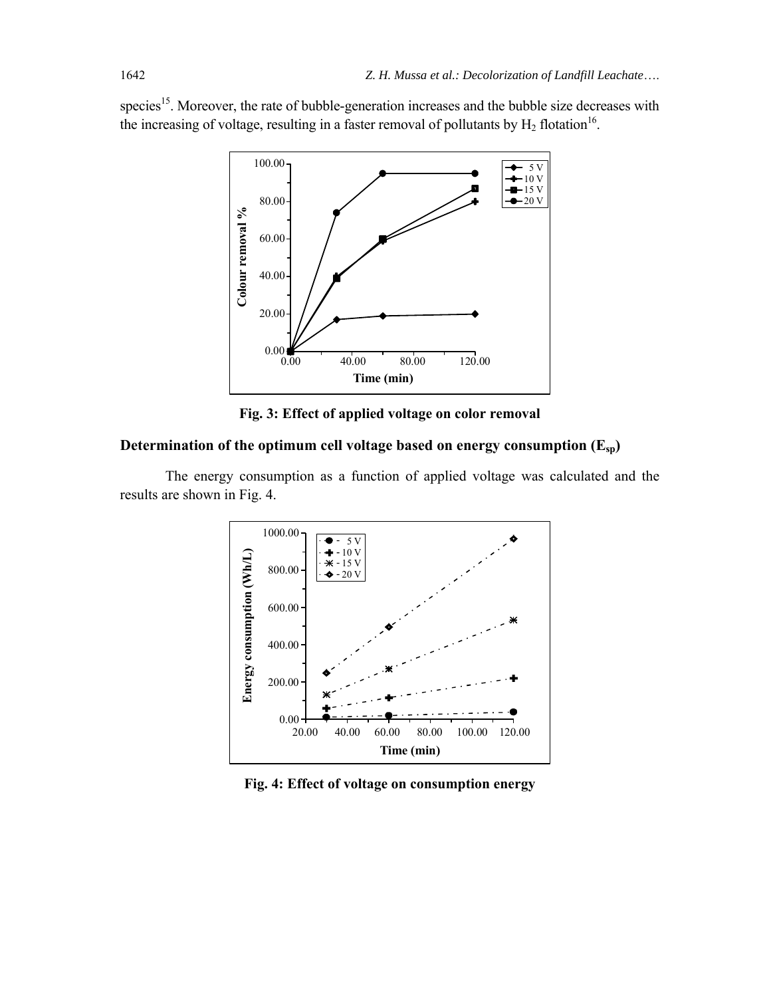species<sup>15</sup>. Moreover, the rate of bubble-generation increases and the bubble size decreases with the increasing of voltage, resulting in a faster removal of pollutants by  $H_2$  flotation<sup>16</sup>.



**Fig. 3: Effect of applied voltage on color removal** 

## **Determination of the optimum cell voltage based on energy consumption (Esp)**

The energy consumption as a function of applied voltage was calculated and the results are shown in Fig. 4.



**Fig. 4: Effect of voltage on consumption energy**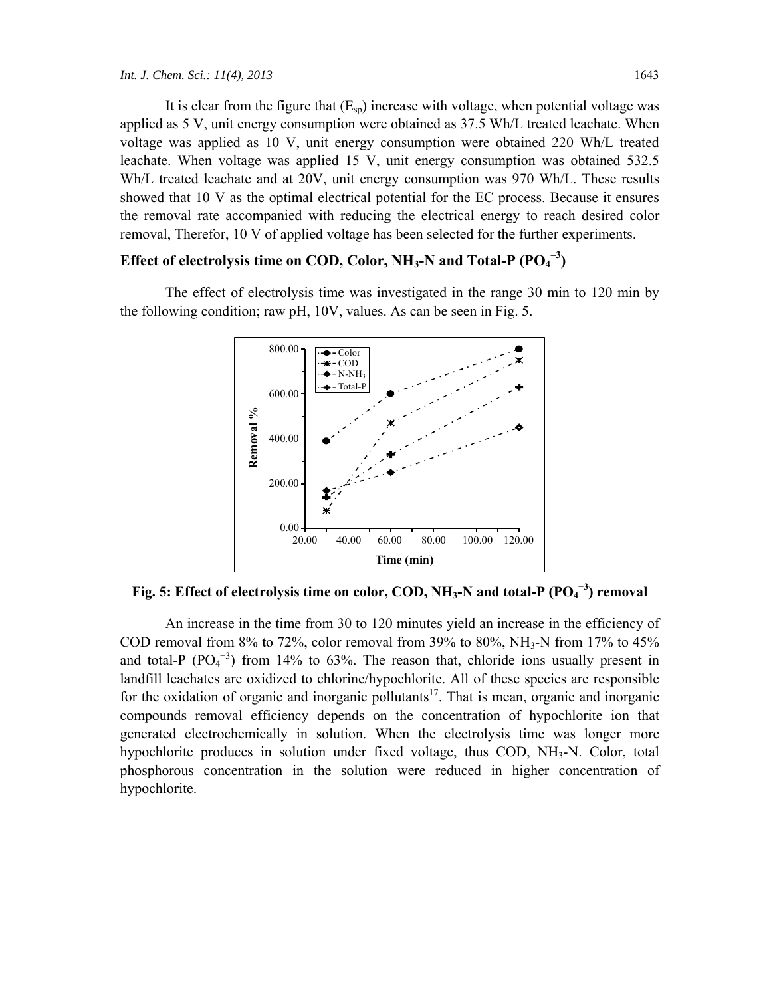It is clear from the figure that  $(E_{\rm SD})$  increase with voltage, when potential voltage was applied as 5 V, unit energy consumption were obtained as 37.5 Wh/L treated leachate. When voltage was applied as 10 V, unit energy consumption were obtained 220 Wh/L treated leachate. When voltage was applied 15 V, unit energy consumption was obtained 532.5 Wh/L treated leachate and at 20V, unit energy consumption was 970 Wh/L. These results showed that 10 V as the optimal electrical potential for the EC process. Because it ensures the removal rate accompanied with reducing the electrical energy to reach desired color removal, Therefor, 10 V of applied voltage has been selected for the further experiments.

# **Effect of electrolysis time on COD, Color, NH<sub>3</sub>-N and Total-P**  $(PO_4^{-3})$

The effect of electrolysis time was investigated in the range 30 min to 120 min by the following condition; raw pH, 10V, values. As can be seen in Fig. 5.



**Fig. 5: Effect of electrolysis time on color, COD, NH<sub>3</sub>-N and total-P (PO<sub>4</sub><sup>-3</sup>) removal** 

An increase in the time from 30 to 120 minutes yield an increase in the efficiency of COD removal from 8% to 72%, color removal from 39% to 80%, NH<sub>3</sub>-N from 17% to 45% and total-P  $(PO<sub>4</sub><sup>-3</sup>)$  from 14% to 63%. The reason that, chloride ions usually present in landfill leachates are oxidized to chlorine/hypochlorite. All of these species are responsible for the oxidation of organic and inorganic pollutants<sup>17</sup>. That is mean, organic and inorganic compounds removal efficiency depends on the concentration of hypochlorite ion that generated electrochemically in solution. When the electrolysis time was longer more hypochlorite produces in solution under fixed voltage, thus COD, NH3-N. Color, total phosphorous concentration in the solution were reduced in higher concentration of hypochlorite.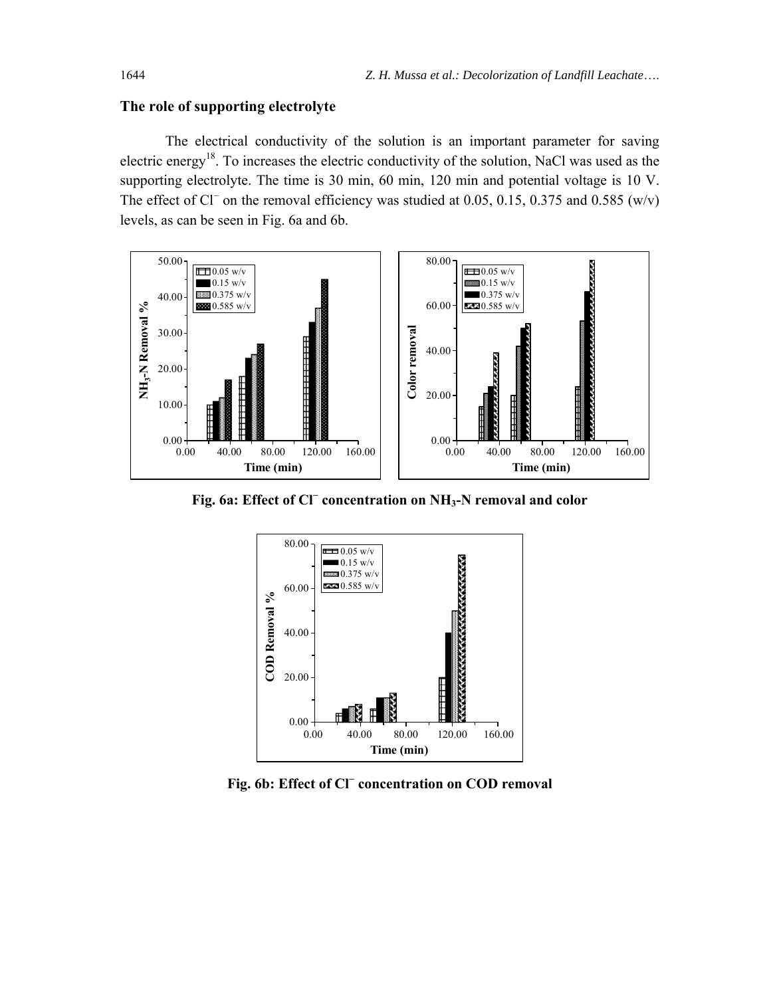#### **The role of supporting electrolyte**

The electrical conductivity of the solution is an important parameter for saving electric energy<sup>18</sup>. To increases the electric conductivity of the solution, NaCl was used as the supporting electrolyte. The time is 30 min, 60 min, 120 min and potential voltage is 10 V. The effect of Cl<sup>−</sup> on the removal efficiency was studied at 0.05, 0.15, 0.375 and 0.585 (w/v) levels, as can be seen in Fig. 6a and 6b.



**Fig. 6a: Effect of Cl<sup>−</sup> concentration on NH3-N removal and color** 



**Fig. 6b: Effect of Cl<sup>−</sup> concentration on COD removal**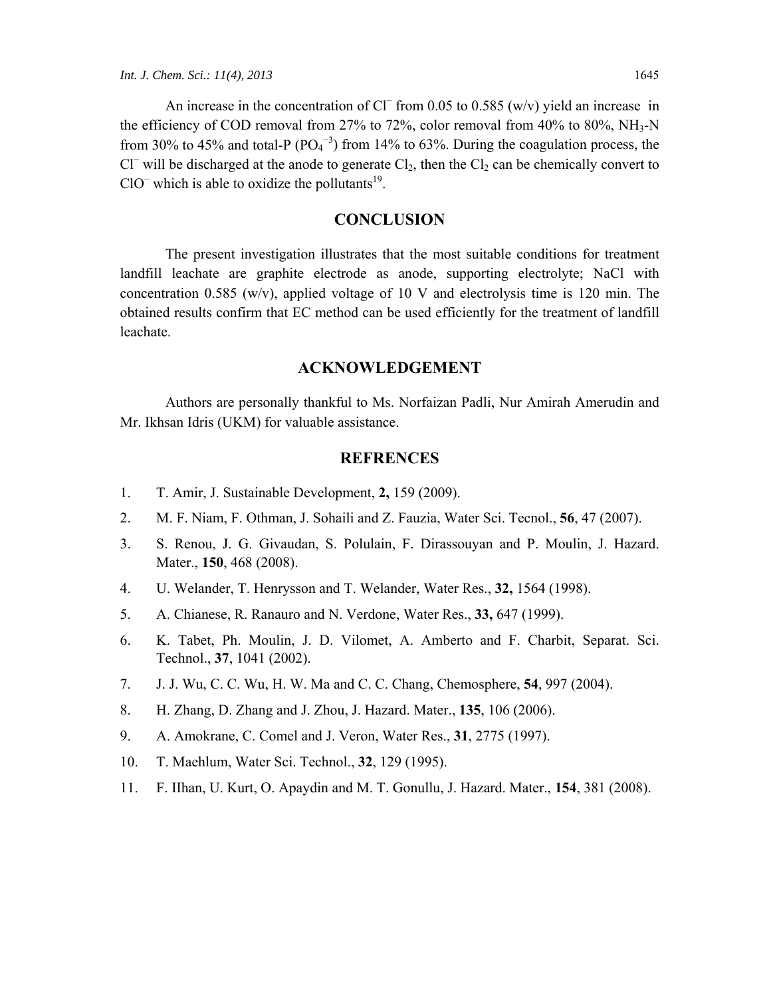## **CONCLUSION**

The present investigation illustrates that the most suitable conditions for treatment landfill leachate are graphite electrode as anode, supporting electrolyte; NaCl with concentration 0.585 (w/v), applied voltage of 10 V and electrolysis time is 120 min. The obtained results confirm that EC method can be used efficiently for the treatment of landfill leachate.

## **ACKNOWLEDGEMENT**

Authors are personally thankful to Ms. Norfaizan Padli, Nur Amirah Amerudin and Mr. Ikhsan Idris (UKM) for valuable assistance.

### **REFRENCES**

- 1. T. Amir, J. Sustainable Development, **2,** 159 (2009).
- 2. M. F. Niam, F. Othman, J. Sohaili and Z. Fauzia, Water Sci. Tecnol., **56**, 47 (2007).
- 3. S. Renou, J. G. Givaudan, S. Polulain, F. Dirassouyan and P. Moulin, J. Hazard. Mater., **150**, 468 (2008).
- 4. U. Welander, T. Henrysson and T. Welander, Water Res., **32,** 1564 (1998).
- 5. A. Chianese, R. Ranauro and N. Verdone, Water Res., **33,** 647 (1999).
- 6. K. Tabet, Ph. Moulin, J. D. Vilomet, A. Amberto and F. Charbit, Separat. Sci. Technol., **37**, 1041 (2002).
- 7. J. J. Wu, C. C. Wu, H. W. Ma and C. C. Chang, Chemosphere, **54**, 997 (2004).
- 8. H. Zhang, D. Zhang and J. Zhou, J. Hazard. Mater., **135**, 106 (2006).
- 9. A. Amokrane, C. Comel and J. Veron, Water Res., **31**, 2775 (1997).
- 10. T. Maehlum, Water Sci. Technol., **32**, 129 (1995).
- 11. F. IIhan, U. Kurt, O. Apaydin and M. T. Gonullu, J. Hazard. Mater., **154**, 381 (2008).